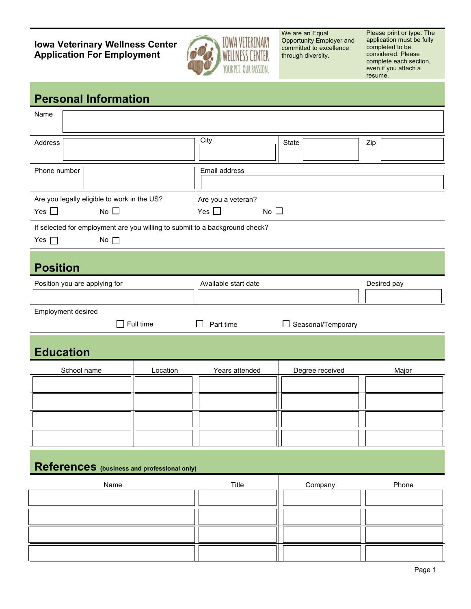**Iowa Veterinary Wellness Center Application For Employment**



We are an Equal Opportunity Employer and committed to excellence through diversity.

Please print or type. The application must be fully completed to be considered. Please complete each section, even if you attach a resume.

## **Personal Information**

| Name                                                                                                      |          |                                                     |                 |             |  |
|-----------------------------------------------------------------------------------------------------------|----------|-----------------------------------------------------|-----------------|-------------|--|
| Address                                                                                                   |          | City                                                | State           | Zip         |  |
| Phone number                                                                                              |          | Email address                                       |                 |             |  |
| Are you legally eligible to work in the US?<br>No $\square$<br>Yes $\Box$                                 |          | Are you a veteran?<br>Yes $\square$<br>No $\square$ |                 |             |  |
| If selected for employment are you willing to submit to a background check?<br>Yes $\Box$<br>No $\square$ |          |                                                     |                 |             |  |
| <b>Position</b>                                                                                           |          |                                                     |                 |             |  |
| Position you are applying for                                                                             |          | Available start date                                |                 | Desired pay |  |
| Employment desired<br>Full time<br>Part time<br>□ Seasonal/Temporary<br>$\blacksquare$                    |          |                                                     |                 |             |  |
| <b>Education</b>                                                                                          |          |                                                     |                 |             |  |
|                                                                                                           |          |                                                     |                 |             |  |
| School name                                                                                               | Location | Years attended                                      | Degree received | Major       |  |
|                                                                                                           |          |                                                     |                 |             |  |
|                                                                                                           |          |                                                     |                 |             |  |
|                                                                                                           |          |                                                     |                 |             |  |
|                                                                                                           |          |                                                     |                 |             |  |
| References (business and professional only)                                                               |          |                                                     |                 |             |  |
| Name                                                                                                      |          | Title                                               | Company         | Phone       |  |
|                                                                                                           |          |                                                     |                 |             |  |
|                                                                                                           |          |                                                     |                 |             |  |
|                                                                                                           |          |                                                     |                 |             |  |